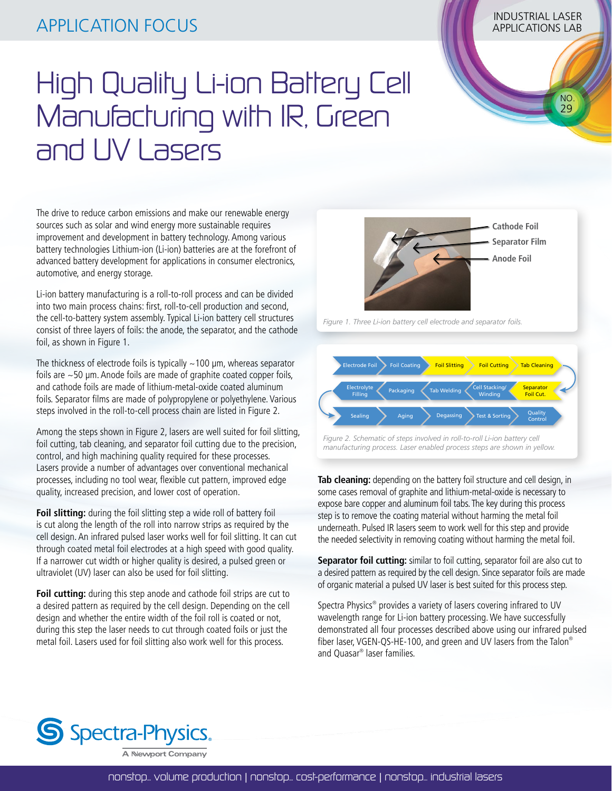## INDUSTRIAL LASER APPLICATION FOCUS APPLICATIONS LAB

## High Quality Li-ion Battery Cell Manufacturing with IR, Green and UV Lasers

The drive to reduce carbon emissions and make our renewable energy sources such as solar and wind energy more sustainable requires improvement and development in battery technology. Among various battery technologies Lithium-ion (Li-ion) batteries are at the forefront of advanced battery development for applications in consumer electronics, automotive, and energy storage.

Li-ion battery manufacturing is a roll-to-roll process and can be divided into two main process chains: first, roll-to-cell production and second, the cell-to-battery system assembly. Typical Li-ion battery cell structures consist of three layers of foils: the anode, the separator, and the cathode foil, as shown in Figure 1.

The thickness of electrode foils is typically  $\sim$  100  $\mu$ m, whereas separator foils are ~50 μm. Anode foils are made of graphite coated copper foils, and cathode foils are made of lithium-metal-oxide coated aluminum foils. Separator films are made of polypropylene or polyethylene. Various steps involved in the roll-to-cell process chain are listed in Figure 2.

Among the steps shown in Figure 2, lasers are well suited for foil slitting, foil cutting, tab cleaning, and separator foil cutting due to the precision, control, and high machining quality required for these processes. Lasers provide a number of advantages over conventional mechanical processes, including no tool wear, flexible cut pattern, improved edge quality, increased precision, and lower cost of operation.

**Foil slitting:** during the foil slitting step a wide roll of battery foil is cut along the length of the roll into narrow strips as required by the cell design. An infrared pulsed laser works well for foil slitting. It can cut through coated metal foil electrodes at a high speed with good quality. If a narrower cut width or higher quality is desired, a pulsed green or ultraviolet (UV) laser can also be used for foil slitting.

**Foil cutting:** during this step anode and cathode foil strips are cut to a desired pattern as required by the cell design. Depending on the cell design and whether the entire width of the foil roll is coated or not, during this step the laser needs to cut through coated foils or just the metal foil. Lasers used for foil slitting also work well for this process.

*Figure 1. Three Li-ion battery cell electrode and separator foils.*



 NO. 29

**Cathode Foil Separator Film Anode Foil**

*Figure 2. Schematic of steps involved in roll-to-roll Li-ion battery cell manufacturing process. Laser enabled process steps are shown in yellow.*

step is to remove the coating material without harming the metal foil **Tab cleaning:** depending on the battery foil structure and cell design, in The Demanistration of graphite and lithium-metal-oxide is necessary to some cases removal of graphite and lithium-metal-oxide is necessary to expose bare copper and aluminum foil tabs. The key during this process underneath. Pulsed IR lasers seem to work well for this step and provide the needed selectivity in removing coating without harming the metal foil.

**Separator foil cutting:** similar to foil cutting, separator foil are also cut to a desired pattern as required by the cell design. Since separator foils are made of organic material a pulsed UV laser is best suited for this process step.

Spectra Physics® provides a variety of lasers covering infrared to UV wavelength range for Li-ion battery processing. We have successfully demonstrated all four processes described above using our infrared pulsed fiber laser, VGEN-QS-HE-100, and green and UV lasers from the Talon® and Quasar® laser families.

S Spectra-Physics.

A Newport Company